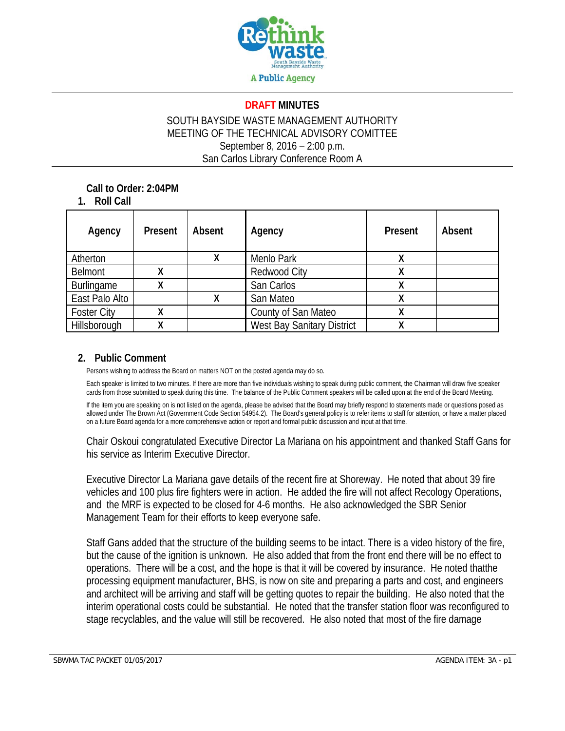

#### **DRAFT MINUTES**

### SOUTH BAYSIDE WASTE MANAGEMENT AUTHORITY MEETING OF THE TECHNICAL ADVISORY COMITTEE September 8, 2016 – 2:00 p.m. San Carlos Library Conference Room A

**Call to Order: 2:04PM** 

**1. Roll Call** 

| Agency             | Present | Absent | Agency                            | Present | Absent |
|--------------------|---------|--------|-----------------------------------|---------|--------|
| Atherton           |         |        | Menlo Park                        |         |        |
| <b>Belmont</b>     |         |        | <b>Redwood City</b>               |         |        |
| Burlingame         | x       |        | San Carlos                        |         |        |
| East Palo Alto     |         |        | San Mateo                         |         |        |
| <b>Foster City</b> |         |        | County of San Mateo               |         |        |
| Hillsborough       |         |        | <b>West Bay Sanitary District</b> |         |        |

#### **2. Public Comment**

Persons wishing to address the Board on matters NOT on the posted agenda may do so.

Each speaker is limited to two minutes. If there are more than five individuals wishing to speak during public comment, the Chairman will draw five speaker cards from those submitted to speak during this time. The balance of the Public Comment speakers will be called upon at the end of the Board Meeting.

If the item you are speaking on is not listed on the agenda, please be advised that the Board may briefly respond to statements made or questions posed as allowed under The Brown Act (Government Code Section 54954.2). The Board's general policy is to refer items to staff for attention, or have a matter placed on a future Board agenda for a more comprehensive action or report and formal public discussion and input at that time.

Chair Oskoui congratulated Executive Director La Mariana on his appointment and thanked Staff Gans for his service as Interim Executive Director.

Executive Director La Mariana gave details of the recent fire at Shoreway. He noted that about 39 fire vehicles and 100 plus fire fighters were in action. He added the fire will not affect Recology Operations, and the MRF is expected to be closed for 4-6 months. He also acknowledged the SBR Senior Management Team for their efforts to keep everyone safe.

Staff Gans added that the structure of the building seems to be intact. There is a video history of the fire, but the cause of the ignition is unknown. He also added that from the front end there will be no effect to operations. There will be a cost, and the hope is that it will be covered by insurance. He noted thatthe processing equipment manufacturer, BHS, is now on site and preparing a parts and cost, and engineers and architect will be arriving and staff will be getting quotes to repair the building. He also noted that the interim operational costs could be substantial. He noted that the transfer station floor was reconfigured to stage recyclables, and the value will still be recovered. He also noted that most of the fire damage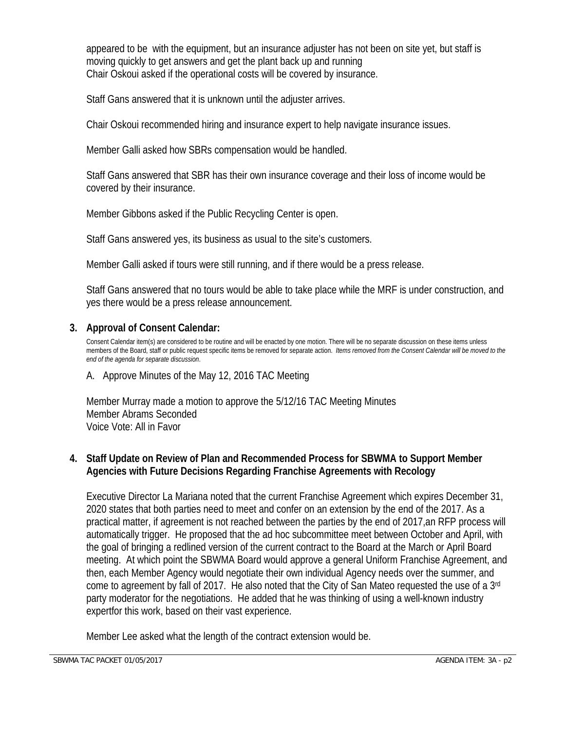appeared to be with the equipment, but an insurance adjuster has not been on site yet, but staff is moving quickly to get answers and get the plant back up and running Chair Oskoui asked if the operational costs will be covered by insurance.

Staff Gans answered that it is unknown until the adjuster arrives.

Chair Oskoui recommended hiring and insurance expert to help navigate insurance issues.

Member Galli asked how SBRs compensation would be handled.

Staff Gans answered that SBR has their own insurance coverage and their loss of income would be covered by their insurance.

Member Gibbons asked if the Public Recycling Center is open.

Staff Gans answered yes, its business as usual to the site's customers.

Member Galli asked if tours were still running, and if there would be a press release.

Staff Gans answered that no tours would be able to take place while the MRF is under construction, and yes there would be a press release announcement.

## **3. Approval of Consent Calendar:**

Consent Calendar item(s) are considered to be routine and will be enacted by one motion. There will be no separate discussion on these items unless members of the Board, staff or public request specific items be removed for separate action. *Items removed from the Consent Calendar will be moved to the end of the agenda for separate discussion*.

#### A. Approve Minutes of the May 12, 2016 TAC Meeting

Member Murray made a motion to approve the 5/12/16 TAC Meeting Minutes Member Abrams Seconded Voice Vote: All in Favor

### **4. Staff Update on Review of Plan and Recommended Process for SBWMA to Support Member Agencies with Future Decisions Regarding Franchise Agreements with Recology**

Executive Director La Mariana noted that the current Franchise Agreement which expires December 31, 2020 states that both parties need to meet and confer on an extension by the end of the 2017. As a practical matter, if agreement is not reached between the parties by the end of 2017,an RFP process will automatically trigger. He proposed that the ad hoc subcommittee meet between October and April, with the goal of bringing a redlined version of the current contract to the Board at the March or April Board meeting. At which point the SBWMA Board would approve a general Uniform Franchise Agreement, and then, each Member Agency would negotiate their own individual Agency needs over the summer, and come to agreement by fall of 2017. He also noted that the City of San Mateo requested the use of a 3rd party moderator for the negotiations. He added that he was thinking of using a well-known industry expertfor this work, based on their vast experience.

Member Lee asked what the length of the contract extension would be.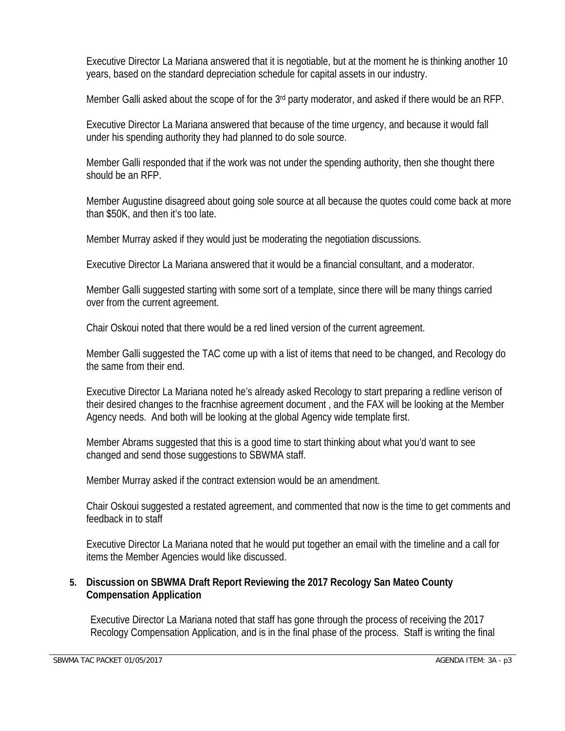Executive Director La Mariana answered that it is negotiable, but at the moment he is thinking another 10 years, based on the standard depreciation schedule for capital assets in our industry.

Member Galli asked about the scope of for the 3<sup>rd</sup> party moderator, and asked if there would be an RFP.

Executive Director La Mariana answered that because of the time urgency, and because it would fall under his spending authority they had planned to do sole source.

Member Galli responded that if the work was not under the spending authority, then she thought there should be an RFP.

Member Augustine disagreed about going sole source at all because the quotes could come back at more than \$50K, and then it's too late.

Member Murray asked if they would just be moderating the negotiation discussions.

Executive Director La Mariana answered that it would be a financial consultant, and a moderator.

Member Galli suggested starting with some sort of a template, since there will be many things carried over from the current agreement.

Chair Oskoui noted that there would be a red lined version of the current agreement.

Member Galli suggested the TAC come up with a list of items that need to be changed, and Recology do the same from their end.

Executive Director La Mariana noted he's already asked Recology to start preparing a redline verison of their desired changes to the fracnhise agreement document , and the FAX will be looking at the Member Agency needs. And both will be looking at the global Agency wide template first.

Member Abrams suggested that this is a good time to start thinking about what you'd want to see changed and send those suggestions to SBWMA staff.

Member Murray asked if the contract extension would be an amendment.

Chair Oskoui suggested a restated agreement, and commented that now is the time to get comments and feedback in to staff

Executive Director La Mariana noted that he would put together an email with the timeline and a call for items the Member Agencies would like discussed.

### **5. Discussion on SBWMA Draft Report Reviewing the 2017 Recology San Mateo County Compensation Application**

Executive Director La Mariana noted that staff has gone through the process of receiving the 2017 Recology Compensation Application, and is in the final phase of the process. Staff is writing the final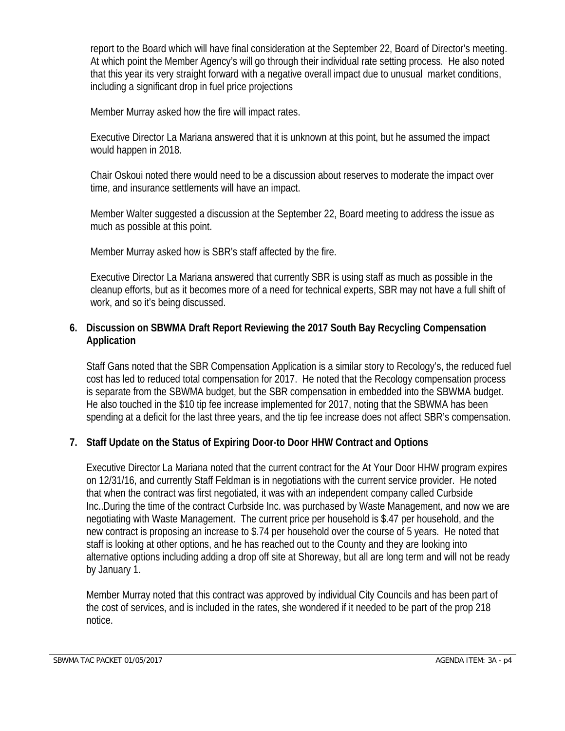report to the Board which will have final consideration at the September 22, Board of Director's meeting. At which point the Member Agency's will go through their individual rate setting process. He also noted that this year its very straight forward with a negative overall impact due to unusual market conditions, including a significant drop in fuel price projections

Member Murray asked how the fire will impact rates.

Executive Director La Mariana answered that it is unknown at this point, but he assumed the impact would happen in 2018.

Chair Oskoui noted there would need to be a discussion about reserves to moderate the impact over time, and insurance settlements will have an impact.

Member Walter suggested a discussion at the September 22, Board meeting to address the issue as much as possible at this point.

Member Murray asked how is SBR's staff affected by the fire.

Executive Director La Mariana answered that currently SBR is using staff as much as possible in the cleanup efforts, but as it becomes more of a need for technical experts, SBR may not have a full shift of work, and so it's being discussed.

## **6. Discussion on SBWMA Draft Report Reviewing the 2017 South Bay Recycling Compensation Application**

Staff Gans noted that the SBR Compensation Application is a similar story to Recology's, the reduced fuel cost has led to reduced total compensation for 2017. He noted that the Recology compensation process is separate from the SBWMA budget, but the SBR compensation in embedded into the SBWMA budget. He also touched in the \$10 tip fee increase implemented for 2017, noting that the SBWMA has been spending at a deficit for the last three years, and the tip fee increase does not affect SBR's compensation.

## **7. Staff Update on the Status of Expiring Door-to Door HHW Contract and Options**

Executive Director La Mariana noted that the current contract for the At Your Door HHW program expires on 12/31/16, and currently Staff Feldman is in negotiations with the current service provider. He noted that when the contract was first negotiated, it was with an independent company called Curbside Inc..During the time of the contract Curbside Inc. was purchased by Waste Management, and now we are negotiating with Waste Management. The current price per household is \$.47 per household, and the new contract is proposing an increase to \$.74 per household over the course of 5 years. He noted that staff is looking at other options, and he has reached out to the County and they are looking into alternative options including adding a drop off site at Shoreway, but all are long term and will not be ready by January 1.

Member Murray noted that this contract was approved by individual City Councils and has been part of the cost of services, and is included in the rates, she wondered if it needed to be part of the prop 218 notice.